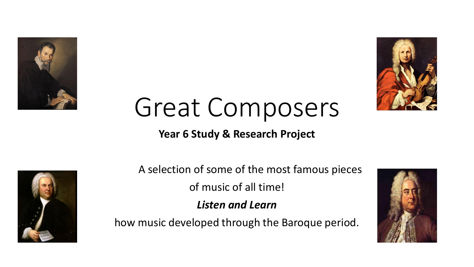



# Great Composers

#### **Year 6 Study & Research Project**



A selection of some of the most famous pieces

of music of all time!

*Listen and Learn* 

how music developed through the Baroque period.

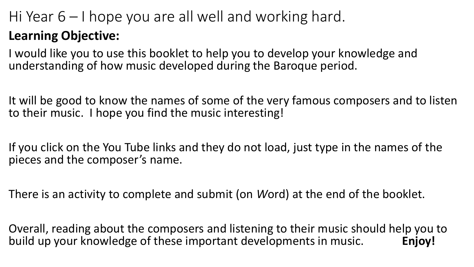# Hi Year 6 – I hope you are all well and working hard.

## **Learning Objective:**

I would like you to use this booklet to help you to develop your knowledge and understanding of how music developed during the Baroque period.

It will be good to know the names of some of the very famous composers and to listen to their music. I hope you find the music interesting!

If you click on the You Tube links and they do not load, just type in the names of the pieces and the composer's name.

There is an activity to complete and submit (on *W*ord) at the end of the booklet.

Overall, reading about the composers and listening to their music should help you to build up your knowledge of these important developments in music. **Enjoy!**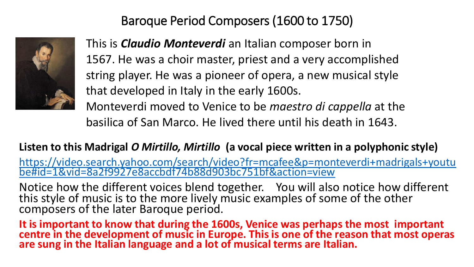Baroque Period Composers (1600 to 1750)



This is *Claudio Monteverdi* an Italian composer born in 1567. He was a choir master, priest and a very accomplished string player. He was a pioneer of opera, a new musical style that developed in Italy in the early 1600s. Monteverdi moved to Venice to be *maestro di cappella* at the

basilica of San Marco. He lived there until his death in 1643.

#### **Listen to this Madrigal** *O Mirtillo, Mirtillo* **(a vocal piece written in a polyphonic style)**

[https://video.search.yahoo.com/search/video?fr=mcafee&p=monteverdi+madrigals+youtu](https://video.search.yahoo.com/search/video?fr=mcafee&p=monteverdi+madrigals+youtube#id=1&vid=8a2f9927e8accbdf74b88d903bc751bf&action=view) be#id=1&vid=8a2f9927e8accbdf74b88d903bc751bf&action=view

Notice how the different voices blend together. You will also notice how different this style of music is to the more lively music examples of some of the other composers of the later Baroque period.

**It is important to know that during the 1600s, Venice was perhaps the most important centre in the development of music in Europe. This is one of the reason that most operas are sung in the Italian language and a lot of musical terms are Italian.**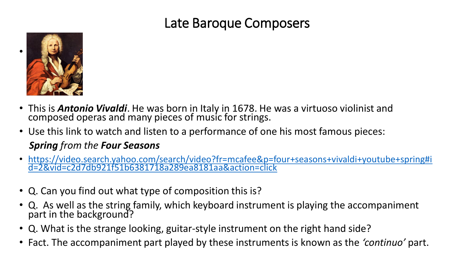## Late Baroque Composers



- This is *Antonio Vivaldi*. He was born in Italy in 1678. He was a virtuoso violinist and composed operas and many pieces of music for strings.
- Use this link to watch and listen to a performance of one his most famous pieces: *Spring from the Four Seasons*
- [https://video.search.yahoo.com/search/video?fr=mcafee&p=four+seasons+vivaldi+youtube+spring#i](https://video.search.yahoo.com/search/video?fr=mcafee&p=four+seasons+vivaldi+youtube+spring#id=2&vid=c2d7db921f51b6381718a289ea8181aa&action=click) d=2&vid=c2d7db921f51b6381718a289ea8181aa&action=click
- Q. Can you find out what type of composition this is?
- Q. As well as the string family, which keyboard instrument is playing the accompaniment part in the background?
- Q. What is the strange looking, guitar-style instrument on the right hand side?
- Fact. The accompaniment part played by these instruments is known as the *'continuo'* part.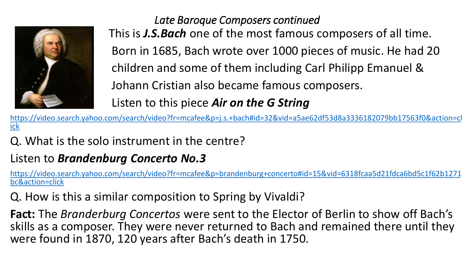

*Late Baroque Composers continued*  This is *J.S.Bach* one of the most famous composers of all time. Born in 1685, Bach wrote over 1000 pieces of music. He had 20 children and some of them including Carl Philipp Emanuel & Johann Cristian also became famous composers. Listen to this piece *Air on the G String*

[https://video.search.yahoo.com/search/video?fr=mcafee&p=j.s.+bach#id=32&vid=a5ae62df53d8a3336182079bb17563f0&action=cl](about:blank) ick

Q. What is the solo instrument in the centre?

## Listen to *Brandenburg Concerto No.3*

[https://video.search.yahoo.com/search/video?fr=mcafee&p=brandenburg+concerto#id=15&vid=6318fcaa5d21fdca6bd5c1f62b1271](about:blank) bc&action=click

Q. How is this a similar composition to Spring by Vivaldi?

**Fact:** The *Branderburg Concertos* were sent to the Elector of Berlin to show off Bach's skills as a composer. They were never returned to Bach and remained there until they were found in 1870, 120 years after Bach's death in 1750.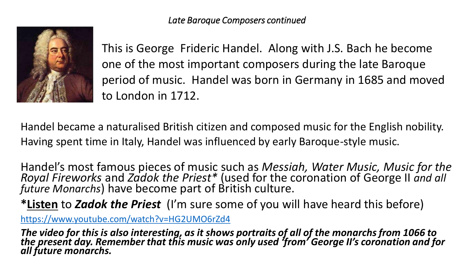

This is George Frideric Handel. Along with J.S. Bach he become one of the most important composers during the late Baroque period of music. Handel was born in Germany in 1685 and moved to London in 1712.

Handel became a naturalised British citizen and composed music for the English nobility. Having spent time in Italy, Handel was influenced by early Baroque-style music.

Handel's most famous pieces of music such as *Messiah, Water Music, Music for the Royal Fireworks* and *Zadok the Priest\** (used for the coronation of George II *and all future Monarchs*) have become part of British culture.

**\*Listen** to *Zadok the Priest* (I'm sure some of you will have heard this before)

[https://www.youtube.com/watch?v=HG2UMO6rZd4](about:blank)

*The video for this is also interesting, as it shows portraits of all of the monarchs from 1066 to the present day. Remember that this music was only used 'from' George II's coronation and for all future monarchs.*